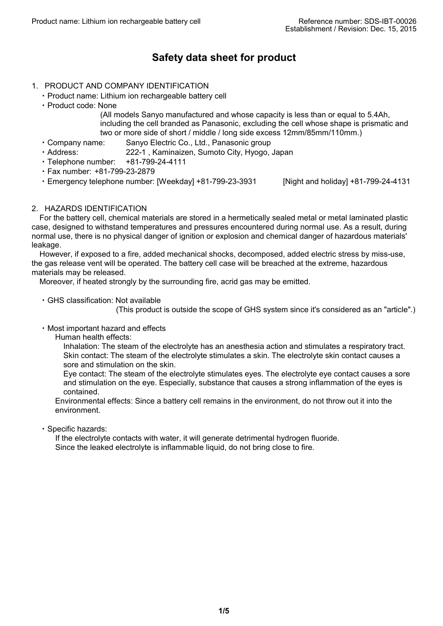# **Safety data sheet for product**

## 1. PRODUCT AND COMPANY IDENTIFICATION

- ・Product name: Lithium ion rechargeable battery cell
- ・Product code: None

(All models Sanyo manufactured and whose capacity is less than or equal to 5.4Ah, including the cell branded as Panasonic, excluding the cell whose shape is prismatic and two or more side of short / middle / long side excess 12mm/85mm/110mm.)

- ・Company name: Sanyo Electric Co., Ltd., Panasonic group
- ・Address: 222-1 , Kaminaizen, Sumoto City, Hyogo, Japan
- ・Telephone number: +81-799-24-4111
- ・Fax number: +81-799-23-2879
- ・Emergency telephone number: [Weekday] +81-799-23-3931 [Night and holiday] +81-799-24-4131
- 

## 2. HAZARDS IDENTIFICATION

For the battery cell, chemical materials are stored in a hermetically sealed metal or metal laminated plastic case, designed to withstand temperatures and pressures encountered during normal use. As a result, during normal use, there is no physical danger of ignition or explosion and chemical danger of hazardous materials' leakage.

However, if exposed to a fire, added mechanical shocks, decomposed, added electric stress by miss-use, the gas release vent will be operated. The battery cell case will be breached at the extreme, hazardous materials may be released.

Moreover, if heated strongly by the surrounding fire, acrid gas may be emitted.

・GHS classification: Not available

(This product is outside the scope of GHS system since it's considered as an "article".)

・Most important hazard and effects

Human health effects:

Inhalation: The steam of the electrolyte has an anesthesia action and stimulates a respiratory tract. Skin contact: The steam of the electrolyte stimulates a skin. The electrolyte skin contact causes a sore and stimulation on the skin.

Eye contact: The steam of the electrolyte stimulates eyes. The electrolyte eye contact causes a sore and stimulation on the eye. Especially, substance that causes a strong inflammation of the eyes is contained.

Environmental effects: Since a battery cell remains in the environment, do not throw out it into the environment.

・Specific hazards:

If the electrolyte contacts with water, it will generate detrimental hydrogen fluoride. Since the leaked electrolyte is inflammable liquid, do not bring close to fire.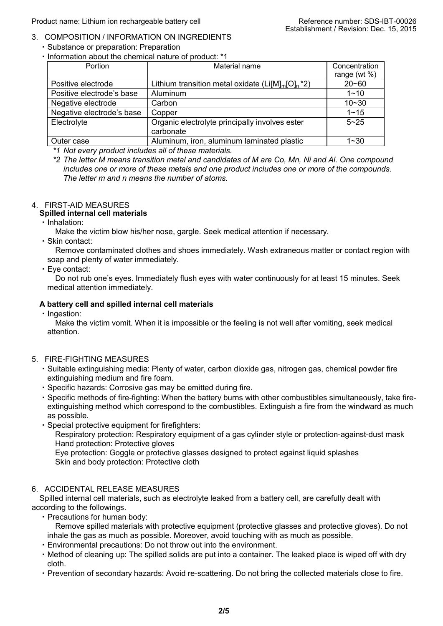## 3. COMPOSITION / INFORMATION ON INGREDIENTS

- ・Substance or preparation: Preparation
- ・Information about the chemical nature of product: \*1

| Portion                   | Material name                                             | Concentration   |
|---------------------------|-----------------------------------------------------------|-----------------|
|                           |                                                           | range (wt $%$ ) |
| Positive electrode        | Lithium transition metal oxidate ( $Li[M]_{m}[O]_{n}$ *2) | $20 - 60$       |
| Positive electrode's base | Aluminum                                                  | $1 - 10$        |
| Negative electrode        | Carbon                                                    | $10 - 30$       |
| Negative electrode's base | Copper                                                    | $1 - 15$        |
| Electrolyte               | Organic electrolyte principally involves ester            | $5 - 25$        |
|                           | carbonate                                                 |                 |
| Outer case                | Aluminum, iron, aluminum laminated plastic                | $1 - 30$        |

*\*1 Not every product includes all of these materials.*

*\*2 The letter M means transition metal and candidates of M are Co, Mn, Ni and Al. One compound includes one or more of these metals and one product includes one or more of the compounds. The letter m and n means the number of atoms.*

# 4. FIRST-AID MEASURES

## **Spilled internal cell materials**

・Inhalation:

Make the victim blow his/her nose, gargle. Seek medical attention if necessary.

・Skin contact:

Remove contaminated clothes and shoes immediately. Wash extraneous matter or contact region with soap and plenty of water immediately.

・Eye contact:

Do not rub one's eyes. Immediately flush eyes with water continuously for at least 15 minutes. Seek medical attention immediately.

## **A battery cell and spilled internal cell materials**

・Ingestion:

Make the victim vomit. When it is impossible or the feeling is not well after vomiting, seek medical attention.

## 5. FIRE-FIGHTING MEASURES

- ・Suitable extinguishing media: Plenty of water, carbon dioxide gas, nitrogen gas, chemical powder fire extinguishing medium and fire foam.
- ・Specific hazards: Corrosive gas may be emitted during fire.
- ・Specific methods of fire-fighting: When the battery burns with other combustibles simultaneously, take fireextinguishing method which correspond to the combustibles. Extinguish a fire from the windward as much as possible.

・Special protective equipment for firefighters: Respiratory protection: Respiratory equipment of a gas cylinder style or protection-against-dust mask Hand protection: Protective gloves Eye protection: Goggle or protective glasses designed to protect against liquid splashes Skin and body protection: Protective cloth

## 6. ACCIDENTAL RELEASE MEASURES

Spilled internal cell materials, such as electrolyte leaked from a battery cell, are carefully dealt with according to the followings.

・Precautions for human body:

Remove spilled materials with protective equipment (protective glasses and protective gloves). Do not inhale the gas as much as possible. Moreover, avoid touching with as much as possible.

- ・Environmental precautions: Do not throw out into the environment.
- ・Method of cleaning up: The spilled solids are put into a container. The leaked place is wiped off with dry cloth.
- ・Prevention of secondary hazards: Avoid re-scattering. Do not bring the collected materials close to fire.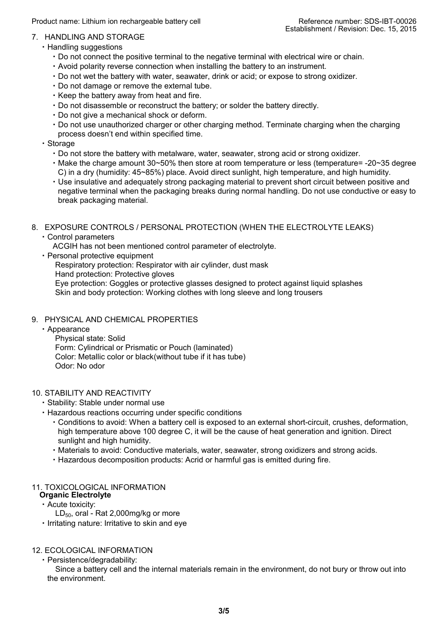Product name: Lithium ion rechargeable battery cell Reference number: SDS-IBT-00026

## 7. HANDLING AND STORAGE

- ・Handling suggestions
	- ・Do not connect the positive terminal to the negative terminal with electrical wire or chain.
	- ・Avoid polarity reverse connection when installing the battery to an instrument.
	- ・Do not wet the battery with water, seawater, drink or acid; or expose to strong oxidizer.
	- ・Do not damage or remove the external tube.
	- ・Keep the battery away from heat and fire.
	- ・Do not disassemble or reconstruct the battery; or solder the battery directly.
	- ・Do not give a mechanical shock or deform.
	- ・Do not use unauthorized charger or other charging method. Terminate charging when the charging process doesn't end within specified time.
- ・Storage
	- ・Do not store the battery with metalware, water, seawater, strong acid or strong oxidizer.
	- ・Make the charge amount 30~50% then store at room temperature or less (temperature= -20~35 degree C) in a dry (humidity: 45~85%) place. Avoid direct sunlight, high temperature, and high humidity.
	- ・Use insulative and adequately strong packaging material to prevent short circuit between positive and negative terminal when the packaging breaks during normal handling. Do not use conductive or easy to break packaging material.
- 8. EXPOSURE CONTROLS / PERSONAL PROTECTION (WHEN THE ELECTROLYTE LEAKS)
	- ・Control parameters
		- ACGIH has not been mentioned control parameter of electrolyte.
	- ・Personal protective equipment

Respiratory protection: Respirator with air cylinder, dust mask

Hand protection: Protective gloves

Eye protection: Goggles or protective glasses designed to protect against liquid splashes Skin and body protection: Working clothes with long sleeve and long trousers

## 9. PHYSICAL AND CHEMICAL PROPERTIES

・Appearance

Physical state: Solid Form: Cylindrical or Prismatic or Pouch (laminated) Color: Metallic color or black(without tube if it has tube) Odor: No odor

## 10. STABILITY AND REACTIVITY

- ・Stability: Stable under normal use
- ・Hazardous reactions occurring under specific conditions
	- ・Conditions to avoid: When a battery cell is exposed to an external short-circuit, crushes, deformation, high temperature above 100 degree C, it will be the cause of heat generation and ignition. Direct sunlight and high humidity.
	- ・Materials to avoid: Conductive materials, water, seawater, strong oxidizers and strong acids.
	- ・Hazardous decomposition products: Acrid or harmful gas is emitted during fire.

#### 11. TOXICOLOGICAL INFORMATION

- **Organic Electrolyte**
- ・Acute toxicity:
	- $LD_{50}$ , oral Rat 2,000mg/kg or more
- ・Irritating nature: Irritative to skin and eye

## 12. ECOLOGICAL INFORMATION

・Persistence/degradability:

Since a battery cell and the internal materials remain in the environment, do not bury or throw out into the environment.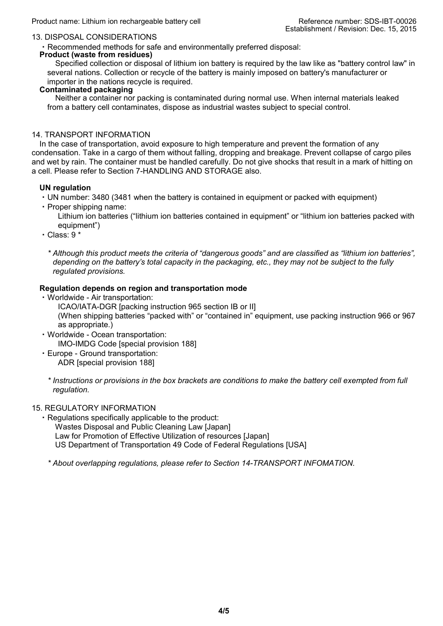#### 13. DISPOSAL CONSIDERATIONS

・Recommended methods for safe and environmentally preferred disposal:

#### **Product (waste from residues)**

Specified collection or disposal of lithium ion battery is required by the law like as "battery control law" in several nations. Collection or recycle of the battery is mainly imposed on battery's manufacturer or importer in the nations recycle is required.

## **Contaminated packaging**

Neither a container nor packing is contaminated during normal use. When internal materials leaked from a battery cell contaminates, dispose as industrial wastes subject to special control.

#### 14. TRANSPORT INFORMATION

In the case of transportation, avoid exposure to high temperature and prevent the formation of any condensation. Take in a cargo of them without falling, dropping and breakage. Prevent collapse of cargo piles and wet by rain. The container must be handled carefully. Do not give shocks that result in a mark of hitting on a cell. Please refer to Section 7-HANDLING AND STORAGE also.

#### **UN regulation**

- ・UN number: 3480 (3481 when the battery is contained in equipment or packed with equipment)
- ・Proper shipping name:

Lithium ion batteries ("lithium ion batteries contained in equipment" or "lithium ion batteries packed with equipment")

・Class: 9 \*

*\* Although this product meets the criteria of "dangerous goods" and are classified as "lithium ion batteries", depending on the battery's total capacity in the packaging, etc., they may not be subject to the fully regulated provisions.*

### **Regulation depends on region and transportation mode**

・Worldwide - Air transportation:

ICAO/IATA-DGR [packing instruction 965 section IB or II] (When shipping batteries "packed with" or "contained in" equipment, use packing instruction 966 or 967 as appropriate.)

- ・Worldwide Ocean transportation: IMO-IMDG Code [special provision 188]
- ・Europe Ground transportation: ADR [special provision 188]
	- *\* Instructions or provisions in the box brackets are conditions to make the battery cell exempted from full regulation.*

## 15. REGULATORY INFORMATION

・Regulations specifically applicable to the product:

Wastes Disposal and Public Cleaning Law [Japan]

Law for Promotion of Effective Utilization of resources [Japan]

US Department of Transportation 49 Code of Federal Regulations [USA]

*\* About overlapping regulations, please refer to Section 14-TRANSPORT INFOMATION.*